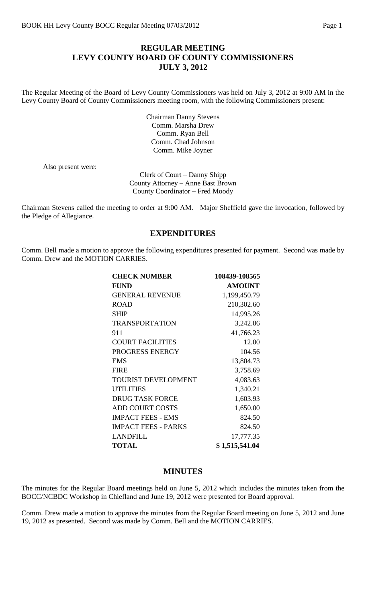## **REGULAR MEETING LEVY COUNTY BOARD OF COUNTY COMMISSIONERS JULY 3, 2012**

The Regular Meeting of the Board of Levy County Commissioners was held on July 3, 2012 at 9:00 AM in the Levy County Board of County Commissioners meeting room, with the following Commissioners present:

> Chairman Danny Stevens Comm. Marsha Drew Comm. Ryan Bell Comm. Chad Johnson Comm. Mike Joyner

Also present were:

Clerk of Court – Danny Shipp County Attorney – Anne Bast Brown County Coordinator – Fred Moody

Chairman Stevens called the meeting to order at 9:00 AM. Major Sheffield gave the invocation, followed by the Pledge of Allegiance.

### **EXPENDITURES**

Comm. Bell made a motion to approve the following expenditures presented for payment. Second was made by Comm. Drew and the MOTION CARRIES.

| <b>CHECK NUMBER</b>        | 108439-108565  |
|----------------------------|----------------|
| <b>FUND</b>                | <b>AMOUNT</b>  |
| <b>GENERAL REVENUE</b>     | 1,199,450.79   |
| <b>ROAD</b>                | 210,302.60     |
| <b>SHIP</b>                | 14,995.26      |
| <b>TRANSPORTATION</b>      | 3,242.06       |
| 911                        | 41,766.23      |
| <b>COURT FACILITIES</b>    | 12.00          |
| PROGRESS ENERGY            | 104.56         |
| <b>EMS</b>                 | 13,804.73      |
| <b>FIRE</b>                | 3,758.69       |
| <b>TOURIST DEVELOPMENT</b> | 4,083.63       |
| <b>UTILITIES</b>           | 1,340.21       |
| <b>DRUG TASK FORCE</b>     | 1,603.93       |
| <b>ADD COURT COSTS</b>     | 1,650.00       |
| <b>IMPACT FEES - EMS</b>   | 824.50         |
| <b>IMPACT FEES - PARKS</b> | 824.50         |
| <b>LANDFILL</b>            | 17,777.35      |
| <b>TOTAL</b>               | \$1,515,541.04 |

#### **MINUTES**

The minutes for the Regular Board meetings held on June 5, 2012 which includes the minutes taken from the BOCC/NCBDC Workshop in Chiefland and June 19, 2012 were presented for Board approval.

Comm. Drew made a motion to approve the minutes from the Regular Board meeting on June 5, 2012 and June 19, 2012 as presented. Second was made by Comm. Bell and the MOTION CARRIES.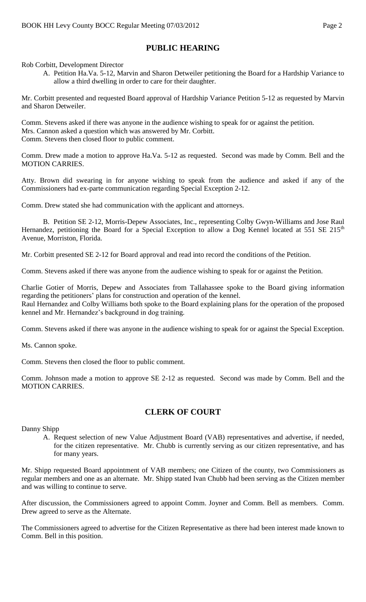# **PUBLIC HEARING**

Rob Corbitt, Development Director

A. Petition Ha.Va. 5-12, Marvin and Sharon Detweiler petitioning the Board for a Hardship Variance to allow a third dwelling in order to care for their daughter.

Mr. Corbitt presented and requested Board approval of Hardship Variance Petition 5-12 as requested by Marvin and Sharon Detweiler.

Comm. Stevens asked if there was anyone in the audience wishing to speak for or against the petition. Mrs. Cannon asked a question which was answered by Mr. Corbitt. Comm. Stevens then closed floor to public comment.

Comm. Drew made a motion to approve Ha.Va. 5-12 as requested. Second was made by Comm. Bell and the MOTION CARRIES.

Atty. Brown did swearing in for anyone wishing to speak from the audience and asked if any of the Commissioners had ex-parte communication regarding Special Exception 2-12.

Comm. Drew stated she had communication with the applicant and attorneys.

B. Petition SE 2-12, Morris-Depew Associates, Inc., representing Colby Gwyn-Williams and Jose Raul Hernandez, petitioning the Board for a Special Exception to allow a Dog Kennel located at 551 SE 215<sup>th</sup> Avenue, Morriston, Florida.

Mr. Corbitt presented SE 2-12 for Board approval and read into record the conditions of the Petition.

Comm. Stevens asked if there was anyone from the audience wishing to speak for or against the Petition.

Charlie Gotier of Morris, Depew and Associates from Tallahassee spoke to the Board giving information regarding the petitioners' plans for construction and operation of the kennel. Raul Hernandez and Colby Williams both spoke to the Board explaining plans for the operation of the proposed kennel and Mr. Hernandez's background in dog training.

Comm. Stevens asked if there was anyone in the audience wishing to speak for or against the Special Exception.

Ms. Cannon spoke.

Comm. Stevens then closed the floor to public comment.

Comm. Johnson made a motion to approve SE 2-12 as requested. Second was made by Comm. Bell and the MOTION CARRIES.

### **CLERK OF COURT**

Danny Shipp

A. Request selection of new Value Adjustment Board (VAB) representatives and advertise, if needed, for the citizen representative. Mr. Chubb is currently serving as our citizen representative, and has for many years.

Mr. Shipp requested Board appointment of VAB members; one Citizen of the county, two Commissioners as regular members and one as an alternate. Mr. Shipp stated Ivan Chubb had been serving as the Citizen member and was willing to continue to serve.

After discussion, the Commissioners agreed to appoint Comm. Joyner and Comm. Bell as members. Comm. Drew agreed to serve as the Alternate.

The Commissioners agreed to advertise for the Citizen Representative as there had been interest made known to Comm. Bell in this position.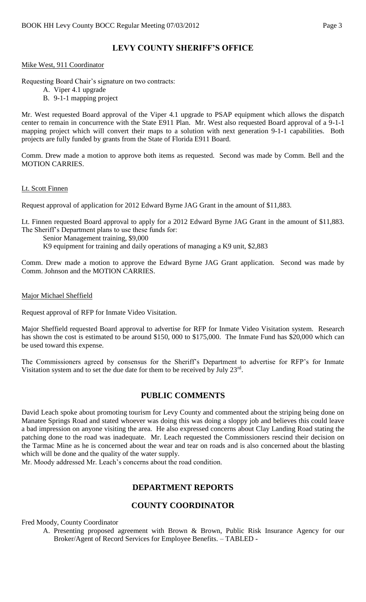# **LEVY COUNTY SHERIFF'S OFFICE**

#### Mike West, 911 Coordinator

Requesting Board Chair's signature on two contracts:

- A. Viper 4.1 upgrade
- B. 9-1-1 mapping project

Mr. West requested Board approval of the Viper 4.1 upgrade to PSAP equipment which allows the dispatch center to remain in concurrence with the State E911 Plan. Mr. West also requested Board approval of a 9-1-1 mapping project which will convert their maps to a solution with next generation 9-1-1 capabilities. Both projects are fully funded by grants from the State of Florida E911 Board.

Comm. Drew made a motion to approve both items as requested. Second was made by Comm. Bell and the MOTION CARRIES.

#### Lt. Scott Finnen

Request approval of application for 2012 Edward Byrne JAG Grant in the amount of \$11,883.

Lt. Finnen requested Board approval to apply for a 2012 Edward Byrne JAG Grant in the amount of \$11,883. The Sheriff's Department plans to use these funds for:

Senior Management training, \$9,000

K9 equipment for training and daily operations of managing a K9 unit, \$2,883

Comm. Drew made a motion to approve the Edward Byrne JAG Grant application. Second was made by Comm. Johnson and the MOTION CARRIES.

#### Major Michael Sheffield

Request approval of RFP for Inmate Video Visitation.

Major Sheffield requested Board approval to advertise for RFP for Inmate Video Visitation system. Research has shown the cost is estimated to be around \$150, 000 to \$175,000. The Inmate Fund has \$20,000 which can be used toward this expense.

The Commissioners agreed by consensus for the Sheriff's Department to advertise for RFP's for Inmate Visitation system and to set the due date for them to be received by July  $23<sup>rd</sup>$ .

### **PUBLIC COMMENTS**

David Leach spoke about promoting tourism for Levy County and commented about the striping being done on Manatee Springs Road and stated whoever was doing this was doing a sloppy job and believes this could leave a bad impression on anyone visiting the area. He also expressed concerns about Clay Landing Road stating the patching done to the road was inadequate. Mr. Leach requested the Commissioners rescind their decision on the Tarmac Mine as he is concerned about the wear and tear on roads and is also concerned about the blasting which will be done and the quality of the water supply.

Mr. Moody addressed Mr. Leach's concerns about the road condition.

## **DEPARTMENT REPORTS**

## **COUNTY COORDINATOR**

Fred Moody, County Coordinator

A. Presenting proposed agreement with Brown & Brown, Public Risk Insurance Agency for our Broker/Agent of Record Services for Employee Benefits. – TABLED -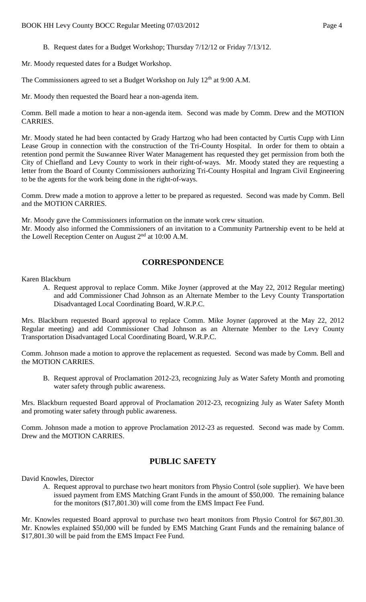B. Request dates for a Budget Workshop; Thursday 7/12/12 or Friday 7/13/12.

Mr. Moody requested dates for a Budget Workshop.

The Commissioners agreed to set a Budget Workshop on July 12<sup>th</sup> at 9:00 A.M.

Mr. Moody then requested the Board hear a non-agenda item.

Comm. Bell made a motion to hear a non-agenda item. Second was made by Comm. Drew and the MOTION CARRIES.

Mr. Moody stated he had been contacted by Grady Hartzog who had been contacted by Curtis Cupp with Linn Lease Group in connection with the construction of the Tri-County Hospital. In order for them to obtain a retention pond permit the Suwannee River Water Management has requested they get permission from both the City of Chiefland and Levy County to work in their right-of-ways. Mr. Moody stated they are requesting a letter from the Board of County Commissioners authorizing Tri-County Hospital and Ingram Civil Engineering to be the agents for the work being done in the right-of-ways.

Comm. Drew made a motion to approve a letter to be prepared as requested. Second was made by Comm. Bell and the MOTION CARRIES.

Mr. Moody gave the Commissioners information on the inmate work crew situation.

Mr. Moody also informed the Commissioners of an invitation to a Community Partnership event to be held at the Lowell Reception Center on August 2<sup>nd</sup> at 10:00 A.M.

### **CORRESPONDENCE**

Karen Blackburn

A. Request approval to replace Comm. Mike Joyner (approved at the May 22, 2012 Regular meeting) and add Commissioner Chad Johnson as an Alternate Member to the Levy County Transportation Disadvantaged Local Coordinating Board, W.R.P.C.

Mrs. Blackburn requested Board approval to replace Comm. Mike Joyner (approved at the May 22, 2012 Regular meeting) and add Commissioner Chad Johnson as an Alternate Member to the Levy County Transportation Disadvantaged Local Coordinating Board, W.R.P.C.

Comm. Johnson made a motion to approve the replacement as requested. Second was made by Comm. Bell and the MOTION CARRIES.

B. Request approval of Proclamation 2012-23, recognizing July as Water Safety Month and promoting water safety through public awareness.

Mrs. Blackburn requested Board approval of Proclamation 2012-23, recognizing July as Water Safety Month and promoting water safety through public awareness.

Comm. Johnson made a motion to approve Proclamation 2012-23 as requested. Second was made by Comm. Drew and the MOTION CARRIES.

## **PUBLIC SAFETY**

David Knowles, Director

A. Request approval to purchase two heart monitors from Physio Control (sole supplier). We have been issued payment from EMS Matching Grant Funds in the amount of \$50,000. The remaining balance for the monitors (\$17,801.30) will come from the EMS Impact Fee Fund.

Mr. Knowles requested Board approval to purchase two heart monitors from Physio Control for \$67,801.30. Mr. Knowles explained \$50,000 will be funded by EMS Matching Grant Funds and the remaining balance of \$17,801.30 will be paid from the EMS Impact Fee Fund.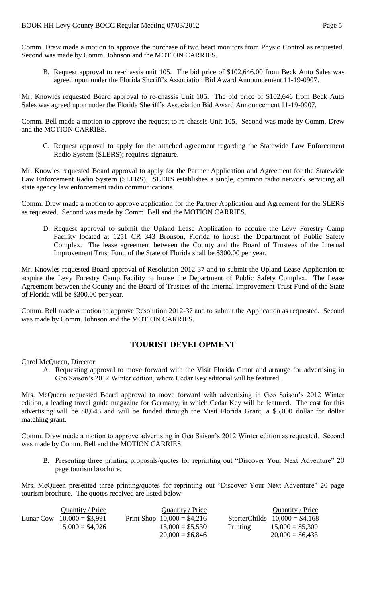Comm. Drew made a motion to approve the purchase of two heart monitors from Physio Control as requested. Second was made by Comm. Johnson and the MOTION CARRIES.

B. Request approval to re-chassis unit 105. The bid price of \$102,646.00 from Beck Auto Sales was agreed upon under the Florida Sheriff's Association Bid Award Announcement 11-19-0907.

Mr. Knowles requested Board approval to re-chassis Unit 105. The bid price of \$102,646 from Beck Auto Sales was agreed upon under the Florida Sheriff's Association Bid Award Announcement 11-19-0907.

Comm. Bell made a motion to approve the request to re-chassis Unit 105. Second was made by Comm. Drew and the MOTION CARRIES.

C. Request approval to apply for the attached agreement regarding the Statewide Law Enforcement Radio System (SLERS); requires signature.

Mr. Knowles requested Board approval to apply for the Partner Application and Agreement for the Statewide Law Enforcement Radio System (SLERS). SLERS establishes a single, common radio network servicing all state agency law enforcement radio communications.

Comm. Drew made a motion to approve application for the Partner Application and Agreement for the SLERS as requested. Second was made by Comm. Bell and the MOTION CARRIES.

D. Request approval to submit the Upland Lease Application to acquire the Levy Forestry Camp Facility located at 1251 CR 343 Bronson, Florida to house the Department of Public Safety Complex. The lease agreement between the County and the Board of Trustees of the Internal Improvement Trust Fund of the State of Florida shall be \$300.00 per year.

Mr. Knowles requested Board approval of Resolution 2012-37 and to submit the Upland Lease Application to acquire the Levy Forestry Camp Facility to house the Department of Public Safety Complex. The Lease Agreement between the County and the Board of Trustees of the Internal Improvement Trust Fund of the State of Florida will be \$300.00 per year.

Comm. Bell made a motion to approve Resolution 2012-37 and to submit the Application as requested. Second was made by Comm. Johnson and the MOTION CARRIES.

### **TOURIST DEVELOPMENT**

Carol McQueen, Director

A. Requesting approval to move forward with the Visit Florida Grant and arrange for advertising in Geo Saison's 2012 Winter edition, where Cedar Key editorial will be featured.

Mrs. McQueen requested Board approval to move forward with advertising in Geo Saison's 2012 Winter edition, a leading travel guide magazine for Germany, in which Cedar Key will be featured. The cost for this advertising will be \$8,643 and will be funded through the Visit Florida Grant, a \$5,000 dollar for dollar matching grant.

Comm. Drew made a motion to approve advertising in Geo Saison's 2012 Winter edition as requested. Second was made by Comm. Bell and the MOTION CARRIES.

B. Presenting three printing proposals/quotes for reprinting out "Discover Your Next Adventure" 20 page tourism brochure.

Mrs. McQueen presented three printing/quotes for reprinting out "Discover Your Next Adventure" 20 page tourism brochure. The quotes received are listed below:

| Quantity / Price            | Quantity / Price             |          | Quantity / Price                |
|-----------------------------|------------------------------|----------|---------------------------------|
| Lunar Cow $10,000 = $3,991$ | Print Shop $10,000 = $4,216$ |          | StorterChilds $10,000 = $4,168$ |
| $15,000 = $4,926$           | $15,000 = $5,530$            | Printing | $15,000 = $5,300$               |
|                             | $20,000 = $6,846$            |          | $20,000 = $6,433$               |